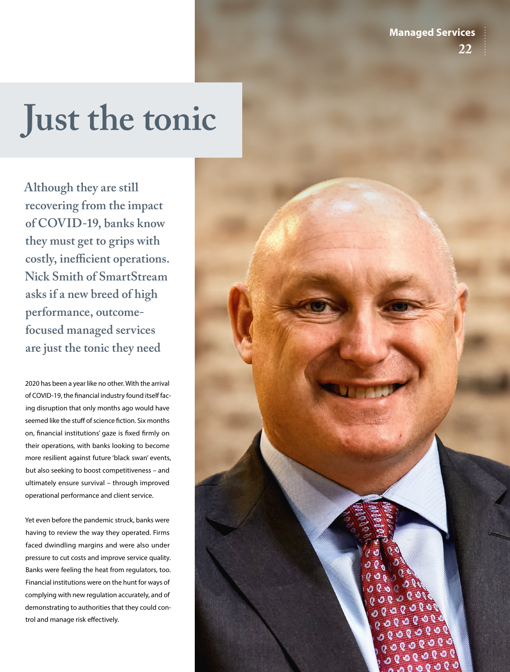**Managed Services 22**

## **Just the tonic**

**Although they are still recovering from the impact of COVID-19, banks know they must get to grips with costly, inefficient operations. Nick Smith of SmartStream asks if a new breed of high performance, outcomefocused managed services are just the tonic they need**

2020 has been a year like no other. With the arrival of COVID-19, the financial industry found itself facing disruption that only months ago would have seemed like the stuff of science fiction. Six months on, financial institutions' gaze is fixed firmly on their operations, with banks looking to become more resilient against future 'black swan' events, but also seeking to boost competitiveness – and ultimately ensure survival – through improved operational performance and client service.

Yet even before the pandemic struck, banks were having to review the way they operated. Firms faced dwindling margins and were also under pressure to cut costs and improve service quality. Banks were feeling the heat from regulators, too. Financial institutions were on the hunt for ways of complying with new regulation accurately, and of demonstrating to authorities that they could control and manage risk effectively.

 $0<sub>0</sub>$ ७१७ Ο  $\mathbf{0}$  $0000$  $000000$  $0.0080$